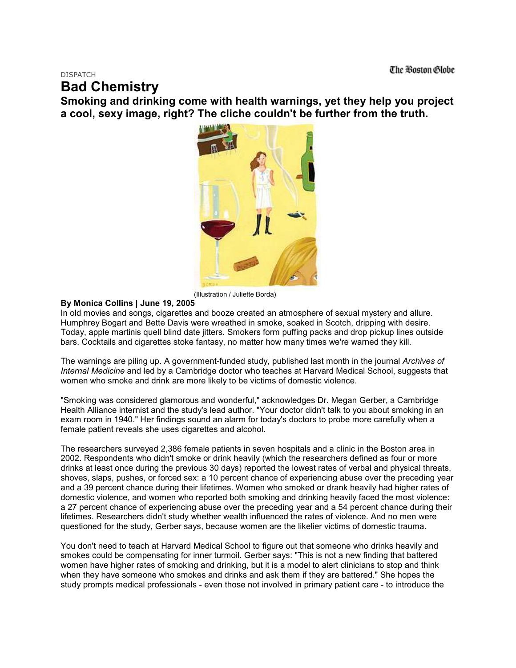DISPATCH

## **Bad Chemistry**

**Smoking and drinking come with health warnings, yet they help you project a cool, sexy image, right? The cliche couldn't be further from the truth.** 



(Illustration / Juliette Borda)

## **By Monica Collins | June 19, 2005**

In old movies and songs, cigarettes and booze created an atmosphere of sexual mystery and allure. Humphrey Bogart and Bette Davis were wreathed in smoke, soaked in Scotch, dripping with desire. Today, apple martinis quell blind date jitters. Smokers form puffing packs and drop pickup lines outside bars. Cocktails and cigarettes stoke fantasy, no matter how many times we're warned they kill.

The warnings are piling up. A government-funded study, published last month in the journal *Archives of Internal Medicine* and led by a Cambridge doctor who teaches at Harvard Medical School, suggests that women who smoke and drink are more likely to be victims of domestic violence.

"Smoking was considered glamorous and wonderful," acknowledges Dr. Megan Gerber, a Cambridge Health Alliance internist and the study's lead author. "Your doctor didn't talk to you about smoking in an exam room in 1940." Her findings sound an alarm for today's doctors to probe more carefully when a female patient reveals she uses cigarettes and alcohol.

The researchers surveyed 2,386 female patients in seven hospitals and a clinic in the Boston area in 2002. Respondents who didn't smoke or drink heavily (which the researchers defined as four or more drinks at least once during the previous 30 days) reported the lowest rates of verbal and physical threats, shoves, slaps, pushes, or forced sex: a 10 percent chance of experiencing abuse over the preceding year and a 39 percent chance during their lifetimes. Women who smoked or drank heavily had higher rates of domestic violence, and women who reported both smoking and drinking heavily faced the most violence: a 27 percent chance of experiencing abuse over the preceding year and a 54 percent chance during their lifetimes. Researchers didn't study whether wealth influenced the rates of violence. And no men were questioned for the study, Gerber says, because women are the likelier victims of domestic trauma.

You don't need to teach at Harvard Medical School to figure out that someone who drinks heavily and smokes could be compensating for inner turmoil. Gerber says: "This is not a new finding that battered women have higher rates of smoking and drinking, but it is a model to alert clinicians to stop and think when they have someone who smokes and drinks and ask them if they are battered." She hopes the study prompts medical professionals - even those not involved in primary patient care - to introduce the